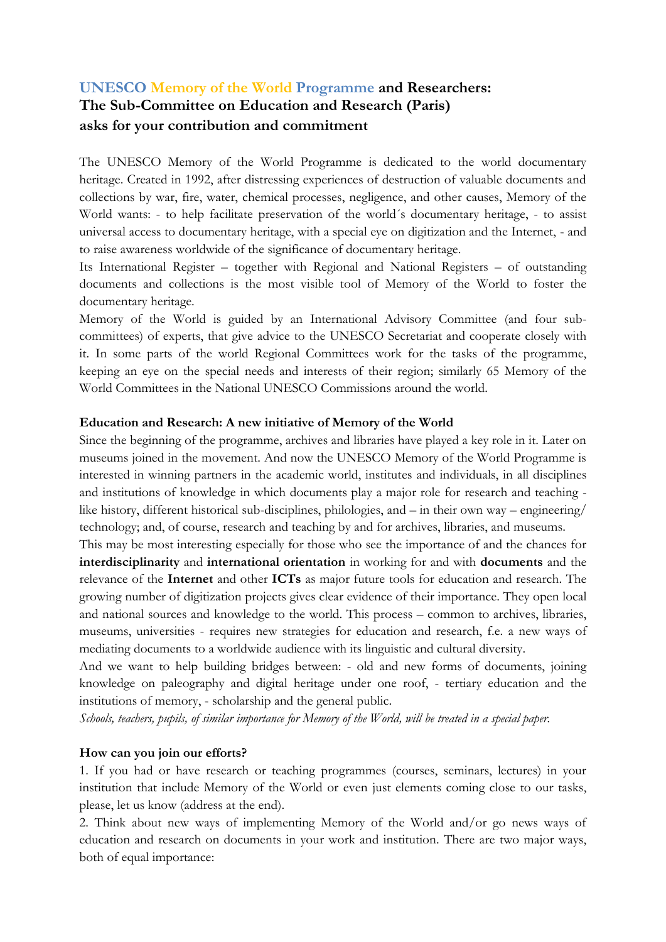# **UNESCO Memory of the World Programme and Researchers: The Sub-Committee on Education and Research (Paris) asks for your contribution and commitment**

The UNESCO Memory of the World Programme is dedicated to the world documentary heritage. Created in 1992, after distressing experiences of destruction of valuable documents and collections by war, fire, water, chemical processes, negligence, and other causes, Memory of the World wants: - to help facilitate preservation of the world´s documentary heritage, - to assist universal access to documentary heritage, with a special eye on digitization and the Internet, - and to raise awareness worldwide of the significance of documentary heritage.

Its International Register – together with Regional and National Registers – of outstanding documents and collections is the most visible tool of Memory of the World to foster the documentary heritage.

Memory of the World is guided by an International Advisory Committee (and four subcommittees) of experts, that give advice to the UNESCO Secretariat and cooperate closely with it. In some parts of the world Regional Committees work for the tasks of the programme, keeping an eye on the special needs and interests of their region; similarly 65 Memory of the World Committees in the National UNESCO Commissions around the world.

#### **Education and Research: A new initiative of Memory of the World**

Since the beginning of the programme, archives and libraries have played a key role in it. Later on museums joined in the movement. And now the UNESCO Memory of the World Programme is interested in winning partners in the academic world, institutes and individuals, in all disciplines and institutions of knowledge in which documents play a major role for research and teaching like history, different historical sub-disciplines, philologies, and – in their own way – engineering/ technology; and, of course, research and teaching by and for archives, libraries, and museums.

This may be most interesting especially for those who see the importance of and the chances for **interdisciplinarity** and **international orientation** in working for and with **documents** and the relevance of the **Internet** and other **ICTs** as major future tools for education and research. The growing number of digitization projects gives clear evidence of their importance. They open local and national sources and knowledge to the world. This process – common to archives, libraries, museums, universities - requires new strategies for education and research, f.e. a new ways of mediating documents to a worldwide audience with its linguistic and cultural diversity.

And we want to help building bridges between: - old and new forms of documents, joining knowledge on paleography and digital heritage under one roof, - tertiary education and the institutions of memory, - scholarship and the general public.

*Schools, teachers, pupils, of similar importance for Memory of the World, will be treated in a special paper.*

# **How can you join our efforts?**

1. If you had or have research or teaching programmes (courses, seminars, lectures) in your institution that include Memory of the World or even just elements coming close to our tasks, please, let us know (address at the end).

2. Think about new ways of implementing Memory of the World and/or go news ways of education and research on documents in your work and institution. There are two major ways, both of equal importance: